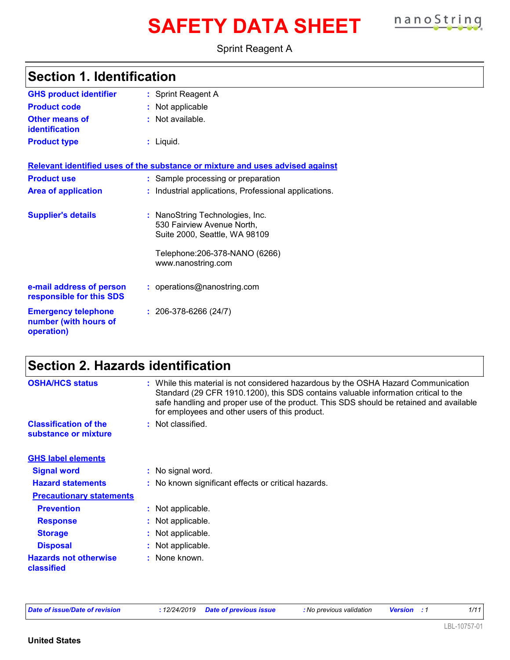# **SAFETY DATA SHEET nanoString**



Sprint Reagent A

| <b>GHS product identifier</b>                                     | : Sprint Reagent A                                                                                                                                     |
|-------------------------------------------------------------------|--------------------------------------------------------------------------------------------------------------------------------------------------------|
| <b>Product code</b>                                               | : Not applicable                                                                                                                                       |
| <b>Other means of</b><br>identification                           | $:$ Not available.                                                                                                                                     |
| <b>Product type</b>                                               | : Liquid.                                                                                                                                              |
|                                                                   | Relevant identified uses of the substance or mixture and uses advised against                                                                          |
| <b>Product use</b>                                                | : Sample processing or preparation                                                                                                                     |
| <b>Area of application</b>                                        | Industrial applications, Professional applications.                                                                                                    |
| <b>Supplier's details</b>                                         | : NanoString Technologies, Inc.<br>530 Fairview Avenue North,<br>Suite 2000, Seattle, WA 98109<br>Telephone: 206-378-NANO (6266)<br>www.nanostring.com |
|                                                                   |                                                                                                                                                        |
| e-mail address of person<br>responsible for this SDS              | : operations@nanostring.com                                                                                                                            |
| <b>Emergency telephone</b><br>number (with hours of<br>operation) | $: 206-378-6266(24/7)$                                                                                                                                 |

### **Section 2. Hazards identification**

| <b>OSHA/HCS status</b>                               | : While this material is not considered hazardous by the OSHA Hazard Communication<br>Standard (29 CFR 1910.1200), this SDS contains valuable information critical to the<br>safe handling and proper use of the product. This SDS should be retained and available<br>for employees and other users of this product. |
|------------------------------------------------------|-----------------------------------------------------------------------------------------------------------------------------------------------------------------------------------------------------------------------------------------------------------------------------------------------------------------------|
| <b>Classification of the</b><br>substance or mixture | : Not classified.                                                                                                                                                                                                                                                                                                     |
| <b>GHS label elements</b>                            |                                                                                                                                                                                                                                                                                                                       |
| <b>Signal word</b>                                   | : No signal word.                                                                                                                                                                                                                                                                                                     |
| <b>Hazard statements</b>                             | : No known significant effects or critical hazards.                                                                                                                                                                                                                                                                   |
| <b>Precautionary statements</b>                      |                                                                                                                                                                                                                                                                                                                       |
| <b>Prevention</b>                                    | : Not applicable.                                                                                                                                                                                                                                                                                                     |
| <b>Response</b>                                      | : Not applicable.                                                                                                                                                                                                                                                                                                     |
| <b>Storage</b>                                       | : Not applicable.                                                                                                                                                                                                                                                                                                     |
| <b>Disposal</b>                                      | : Not applicable.                                                                                                                                                                                                                                                                                                     |
| <b>Hazards not otherwise</b><br>classified           | : None known.                                                                                                                                                                                                                                                                                                         |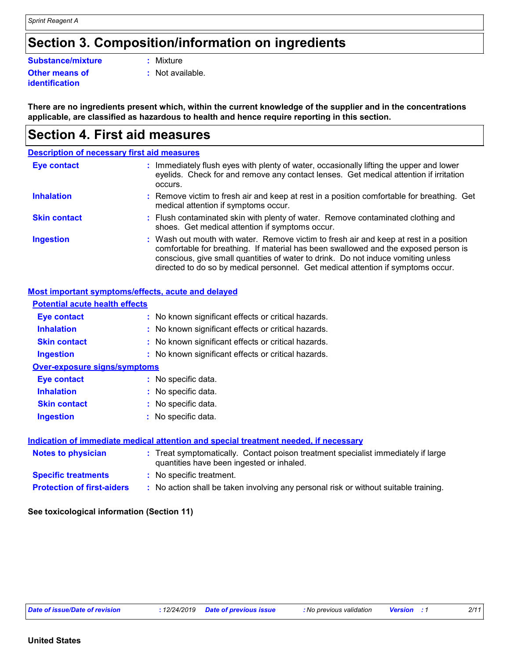### **Section 3. Composition/information on ingredients**

#### **Substance/mixture :** Mixture

#### **Other means of identification**

**:** Not available.

**There are no ingredients present which, within the current knowledge of the supplier and in the concentrations applicable, are classified as hazardous to health and hence require reporting in this section.**

### **Section 4. First aid measures**

|                     | <b>Description of necessary first aid measures</b>                                                                                                                                                                                                                                                                                                     |
|---------------------|--------------------------------------------------------------------------------------------------------------------------------------------------------------------------------------------------------------------------------------------------------------------------------------------------------------------------------------------------------|
| <b>Eye contact</b>  | Immediately flush eyes with plenty of water, occasionally lifting the upper and lower<br>÷.<br>eyelids. Check for and remove any contact lenses. Get medical attention if irritation<br>occurs.                                                                                                                                                        |
| <b>Inhalation</b>   | : Remove victim to fresh air and keep at rest in a position comfortable for breathing. Get<br>medical attention if symptoms occur.                                                                                                                                                                                                                     |
| <b>Skin contact</b> | : Flush contaminated skin with plenty of water. Remove contaminated clothing and<br>shoes. Get medical attention if symptoms occur.                                                                                                                                                                                                                    |
| <b>Ingestion</b>    | : Wash out mouth with water. Remove victim to fresh air and keep at rest in a position<br>comfortable for breathing. If material has been swallowed and the exposed person is<br>conscious, give small quantities of water to drink. Do not induce vomiting unless<br>directed to do so by medical personnel. Get medical attention if symptoms occur. |

#### **Most important symptoms/effects, acute and delayed**

| <b>Potential acute health effects</b>                                                |                                                                                                                                |  |
|--------------------------------------------------------------------------------------|--------------------------------------------------------------------------------------------------------------------------------|--|
| <b>Eye contact</b>                                                                   | : No known significant effects or critical hazards.                                                                            |  |
| <b>Inhalation</b>                                                                    | : No known significant effects or critical hazards.                                                                            |  |
| <b>Skin contact</b>                                                                  | : No known significant effects or critical hazards.                                                                            |  |
| <b>Ingestion</b>                                                                     | : No known significant effects or critical hazards.                                                                            |  |
| <b>Over-exposure signs/symptoms</b>                                                  |                                                                                                                                |  |
| Eye contact                                                                          | : No specific data.                                                                                                            |  |
| <b>Inhalation</b>                                                                    | : No specific data.                                                                                                            |  |
| <b>Skin contact</b>                                                                  | : No specific data.                                                                                                            |  |
| <b>Ingestion</b>                                                                     | : No specific data.                                                                                                            |  |
| Indication of immediate medical attention and special treatment needed, if necessary |                                                                                                                                |  |
| <b>Notes to physician</b>                                                            | : Treat symptomatically. Contact poison treatment specialist immediately if large<br>quantities have been ingested or inhaled. |  |
| <b>Specific treatments</b>                                                           | : No specific treatment.                                                                                                       |  |
| <b>Protection of first-aiders</b>                                                    | : No action shall be taken involving any personal risk or without suitable training.                                           |  |
|                                                                                      |                                                                                                                                |  |

#### **See toxicological information (Section 11)**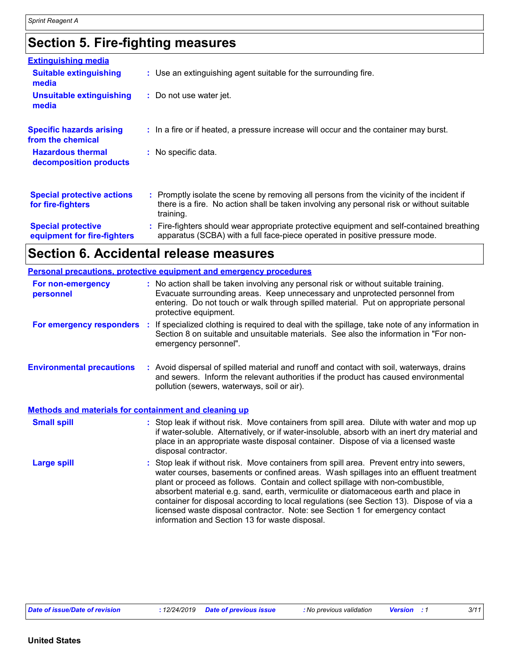## **Section 5. Fire-fighting measures**

| <b>Extinguishing media</b>                               |                                                                                                                                                                                                     |
|----------------------------------------------------------|-----------------------------------------------------------------------------------------------------------------------------------------------------------------------------------------------------|
| <b>Suitable extinguishing</b><br>media                   | : Use an extinguishing agent suitable for the surrounding fire.                                                                                                                                     |
| <b>Unsuitable extinguishing</b><br>media                 | : Do not use water jet.                                                                                                                                                                             |
| <b>Specific hazards arising</b><br>from the chemical     | : In a fire or if heated, a pressure increase will occur and the container may burst.                                                                                                               |
| <b>Hazardous thermal</b><br>decomposition products       | : No specific data.                                                                                                                                                                                 |
| <b>Special protective actions</b><br>for fire-fighters   | : Promptly isolate the scene by removing all persons from the vicinity of the incident if<br>there is a fire. No action shall be taken involving any personal risk or without suitable<br>training. |
| <b>Special protective</b><br>equipment for fire-fighters | : Fire-fighters should wear appropriate protective equipment and self-contained breathing<br>apparatus (SCBA) with a full face-piece operated in positive pressure mode.                            |

## **Section 6. Accidental release measures**

|                                                       | <b>Personal precautions, protective equipment and emergency procedures</b>                                                                                                                                                                                                                                                                                                                                                                                                                                                                                                                 |
|-------------------------------------------------------|--------------------------------------------------------------------------------------------------------------------------------------------------------------------------------------------------------------------------------------------------------------------------------------------------------------------------------------------------------------------------------------------------------------------------------------------------------------------------------------------------------------------------------------------------------------------------------------------|
| For non-emergency<br>personnel                        | : No action shall be taken involving any personal risk or without suitable training.<br>Evacuate surrounding areas. Keep unnecessary and unprotected personnel from<br>entering. Do not touch or walk through spilled material. Put on appropriate personal<br>protective equipment.                                                                                                                                                                                                                                                                                                       |
| For emergency responders :                            | If specialized clothing is required to deal with the spillage, take note of any information in<br>Section 8 on suitable and unsuitable materials. See also the information in "For non-<br>emergency personnel".                                                                                                                                                                                                                                                                                                                                                                           |
| <b>Environmental precautions</b>                      | : Avoid dispersal of spilled material and runoff and contact with soil, waterways, drains<br>and sewers. Inform the relevant authorities if the product has caused environmental<br>pollution (sewers, waterways, soil or air).                                                                                                                                                                                                                                                                                                                                                            |
| Methods and materials for containment and cleaning up |                                                                                                                                                                                                                                                                                                                                                                                                                                                                                                                                                                                            |
| <b>Small spill</b>                                    | : Stop leak if without risk. Move containers from spill area. Dilute with water and mop up<br>if water-soluble. Alternatively, or if water-insoluble, absorb with an inert dry material and<br>place in an appropriate waste disposal container. Dispose of via a licensed waste<br>disposal contractor.                                                                                                                                                                                                                                                                                   |
| <b>Large spill</b>                                    | : Stop leak if without risk. Move containers from spill area. Prevent entry into sewers,<br>water courses, basements or confined areas. Wash spillages into an effluent treatment<br>plant or proceed as follows. Contain and collect spillage with non-combustible,<br>absorbent material e.g. sand, earth, vermiculite or diatomaceous earth and place in<br>container for disposal according to local regulations (see Section 13). Dispose of via a<br>licensed waste disposal contractor. Note: see Section 1 for emergency contact<br>information and Section 13 for waste disposal. |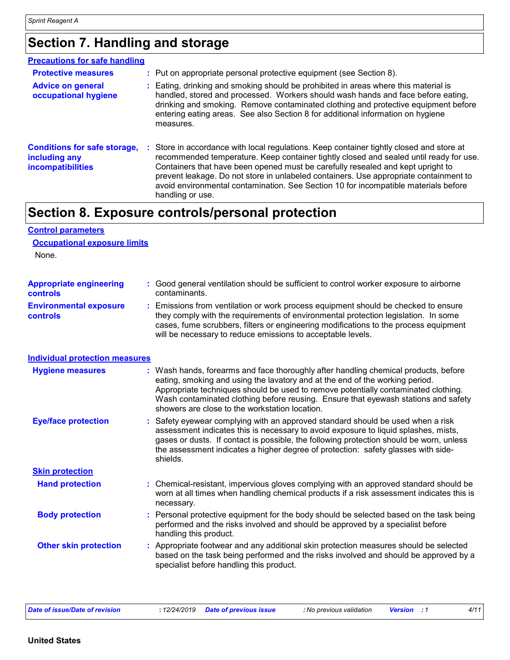**Control parameters**

### **Section 7. Handling and storage**

| <b>Precautions for safe handling</b>                                             |    |                                                                                                                                                                                                                                                                                                                                                                                                                                                                         |
|----------------------------------------------------------------------------------|----|-------------------------------------------------------------------------------------------------------------------------------------------------------------------------------------------------------------------------------------------------------------------------------------------------------------------------------------------------------------------------------------------------------------------------------------------------------------------------|
| <b>Protective measures</b>                                                       |    | : Put on appropriate personal protective equipment (see Section 8).                                                                                                                                                                                                                                                                                                                                                                                                     |
| <b>Advice on general</b><br>occupational hygiene                                 |    | : Eating, drinking and smoking should be prohibited in areas where this material is<br>handled, stored and processed. Workers should wash hands and face before eating,<br>drinking and smoking. Remove contaminated clothing and protective equipment before<br>entering eating areas. See also Section 8 for additional information on hygiene<br>measures.                                                                                                           |
| <b>Conditions for safe storage,</b><br>including any<br><b>incompatibilities</b> | ÷. | Store in accordance with local regulations. Keep container tightly closed and store at<br>recommended temperature. Keep container tightly closed and sealed until ready for use.<br>Containers that have been opened must be carefully resealed and kept upright to<br>prevent leakage. Do not store in unlabeled containers. Use appropriate containment to<br>avoid environmental contamination. See Section 10 for incompatible materials before<br>handling or use. |

### **Section 8. Exposure controls/personal protection**

| <b>Occupational exposure limits</b><br>None. |                                                                                                                                                                                                                                                                                                                                                                                                 |
|----------------------------------------------|-------------------------------------------------------------------------------------------------------------------------------------------------------------------------------------------------------------------------------------------------------------------------------------------------------------------------------------------------------------------------------------------------|
| <b>Appropriate engineering</b><br>controls   | : Good general ventilation should be sufficient to control worker exposure to airborne<br>contaminants.                                                                                                                                                                                                                                                                                         |
| <b>Environmental exposure</b><br>controls    | Emissions from ventilation or work process equipment should be checked to ensure<br>they comply with the requirements of environmental protection legislation. In some<br>cases, fume scrubbers, filters or engineering modifications to the process equipment<br>will be necessary to reduce emissions to acceptable levels.                                                                   |
| <b>Individual protection measures</b>        |                                                                                                                                                                                                                                                                                                                                                                                                 |
| <b>Hygiene measures</b>                      | Wash hands, forearms and face thoroughly after handling chemical products, before<br>eating, smoking and using the lavatory and at the end of the working period.<br>Appropriate techniques should be used to remove potentially contaminated clothing.<br>Wash contaminated clothing before reusing. Ensure that eyewash stations and safety<br>showers are close to the workstation location. |
| <b>Eye/face protection</b>                   | Safety eyewear complying with an approved standard should be used when a risk<br>assessment indicates this is necessary to avoid exposure to liquid splashes, mists,<br>gases or dusts. If contact is possible, the following protection should be worn, unless<br>the assessment indicates a higher degree of protection: safety glasses with side-<br>shields.                                |
| <b>Skin protection</b>                       |                                                                                                                                                                                                                                                                                                                                                                                                 |
| <b>Hand protection</b>                       | : Chemical-resistant, impervious gloves complying with an approved standard should be<br>worn at all times when handling chemical products if a risk assessment indicates this is<br>necessary.                                                                                                                                                                                                 |
| <b>Body protection</b>                       | : Personal protective equipment for the body should be selected based on the task being<br>performed and the risks involved and should be approved by a specialist before<br>handling this product.                                                                                                                                                                                             |
| <b>Other skin protection</b>                 | Appropriate footwear and any additional skin protection measures should be selected<br>based on the task being performed and the risks involved and should be approved by a<br>specialist before handling this product.                                                                                                                                                                         |
|                                              |                                                                                                                                                                                                                                                                                                                                                                                                 |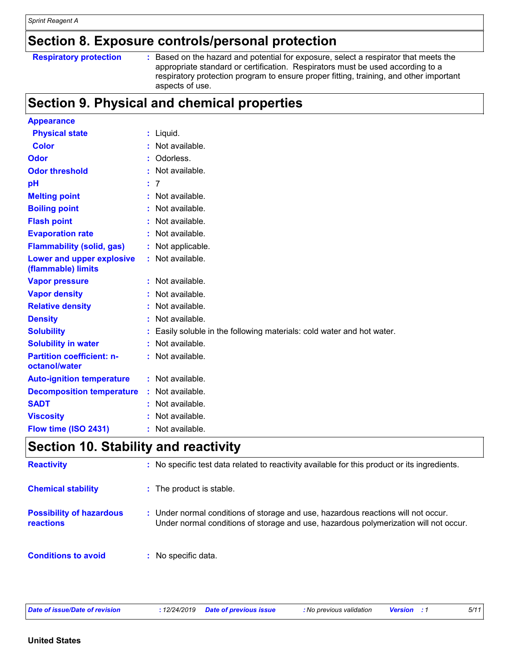### **Section 8. Exposure controls/personal protection**

#### **Respiratory protection :**

: Based on the hazard and potential for exposure, select a respirator that meets the appropriate standard or certification. Respirators must be used according to a respiratory protection program to ensure proper fitting, training, and other important aspects of use.

### **Section 9. Physical and chemical properties**

| <b>Appearance</b>                                 |    |                                                                      |
|---------------------------------------------------|----|----------------------------------------------------------------------|
| <b>Physical state</b>                             |    | $:$ Liquid.                                                          |
| <b>Color</b>                                      | ÷. | Not available.                                                       |
| <b>Odor</b>                                       |    | Odorless.                                                            |
| <b>Odor threshold</b>                             |    | Not available.                                                       |
| pH                                                | ÷. | 7                                                                    |
| <b>Melting point</b>                              |    | : Not available.                                                     |
| <b>Boiling point</b>                              |    | Not available.                                                       |
| <b>Flash point</b>                                |    | Not available.                                                       |
| <b>Evaporation rate</b>                           |    | Not available.                                                       |
| <b>Flammability (solid, gas)</b>                  |    | Not applicable.                                                      |
| Lower and upper explosive<br>(flammable) limits   |    | Not available.                                                       |
| <b>Vapor pressure</b>                             |    | : Not available.                                                     |
| <b>Vapor density</b>                              |    | Not available.                                                       |
| <b>Relative density</b>                           |    | Not available.                                                       |
| <b>Density</b>                                    |    | Not available.                                                       |
| <b>Solubility</b>                                 |    | Easily soluble in the following materials: cold water and hot water. |
| <b>Solubility in water</b>                        |    | Not available.                                                       |
| <b>Partition coefficient: n-</b><br>octanol/water |    | Not available.                                                       |
| <b>Auto-ignition temperature</b>                  |    | : Not available.                                                     |
| <b>Decomposition temperature</b>                  | ÷. | Not available.                                                       |
| <b>SADT</b>                                       |    | Not available.                                                       |
| <b>Viscosity</b>                                  |    | Not available.                                                       |
| Flow time (ISO 2431)                              | t. | Not available.                                                       |

### **Section 10. Stability and reactivity**

| <b>Reactivity</b>                            | : No specific test data related to reactivity available for this product or its ingredients.                                                                              |
|----------------------------------------------|---------------------------------------------------------------------------------------------------------------------------------------------------------------------------|
| <b>Chemical stability</b>                    | : The product is stable.                                                                                                                                                  |
| <b>Possibility of hazardous</b><br>reactions | : Under normal conditions of storage and use, hazardous reactions will not occur.<br>Under normal conditions of storage and use, hazardous polymerization will not occur. |
| <b>Conditions to avoid</b>                   | $:$ No specific data.                                                                                                                                                     |

*Date of issue/Date of revision* **:** *12/24/2019 Date of previous issue : No previous validation Version : 1 5/11*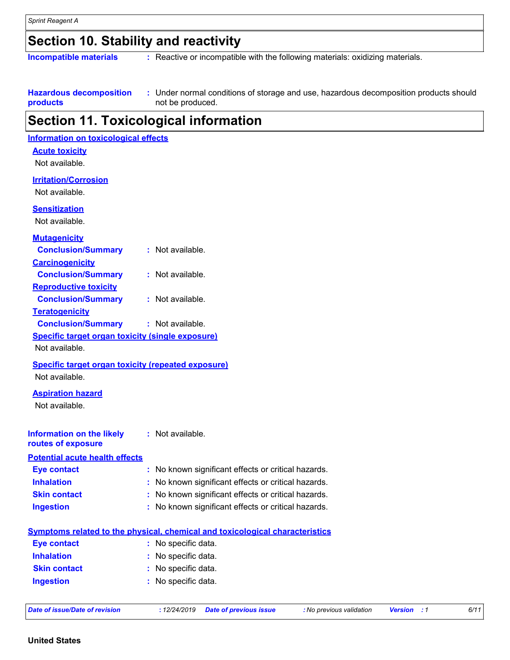### **Section 10. Stability and reactivity**

**Incompatible materials :** Reactive or incompatible with the following materials: oxidizing materials.

**Hazardous decomposition products** Under normal conditions of storage and use, hazardous decomposition products should **:** not be produced.

### **Section 11. Toxicological information**

| <b>Information on toxicological effects</b>               |                                                                                     |
|-----------------------------------------------------------|-------------------------------------------------------------------------------------|
| <b>Acute toxicity</b>                                     |                                                                                     |
| Not available.                                            |                                                                                     |
| <b>Irritation/Corrosion</b>                               |                                                                                     |
| Not available.                                            |                                                                                     |
|                                                           |                                                                                     |
| <b>Sensitization</b>                                      |                                                                                     |
| Not available.                                            |                                                                                     |
| <b>Mutagenicity</b>                                       |                                                                                     |
| <b>Conclusion/Summary</b>                                 | : Not available.                                                                    |
| <b>Carcinogenicity</b>                                    |                                                                                     |
| <b>Conclusion/Summary</b>                                 | : Not available.                                                                    |
| <b>Reproductive toxicity</b>                              |                                                                                     |
| <b>Conclusion/Summary</b>                                 | : Not available.                                                                    |
| <b>Teratogenicity</b>                                     |                                                                                     |
| <b>Conclusion/Summary</b>                                 | : Not available.                                                                    |
| <b>Specific target organ toxicity (single exposure)</b>   |                                                                                     |
| Not available.                                            |                                                                                     |
| <b>Specific target organ toxicity (repeated exposure)</b> |                                                                                     |
| Not available.                                            |                                                                                     |
| <b>Aspiration hazard</b>                                  |                                                                                     |
| Not available.                                            |                                                                                     |
|                                                           |                                                                                     |
| <b>Information on the likely</b>                          | : Not available.                                                                    |
| routes of exposure                                        |                                                                                     |
| <b>Potential acute health effects</b>                     |                                                                                     |
| <b>Eye contact</b>                                        | : No known significant effects or critical hazards.                                 |
| <b>Inhalation</b>                                         | No known significant effects or critical hazards.                                   |
| <b>Skin contact</b>                                       | : No known significant effects or critical hazards.                                 |
| <b>Ingestion</b>                                          | : No known significant effects or critical hazards.                                 |
|                                                           |                                                                                     |
|                                                           | <b>Symptoms related to the physical, chemical and toxicological characteristics</b> |
| <b>Eye contact</b>                                        | : No specific data.                                                                 |
| <b>Inhalation</b>                                         | : No specific data.                                                                 |
| <b>Skin contact</b>                                       | : No specific data.                                                                 |
| <b>Ingestion</b>                                          | : No specific data.                                                                 |
|                                                           |                                                                                     |

| Date of issue/Date of revision |  |  |  |  |
|--------------------------------|--|--|--|--|
|--------------------------------|--|--|--|--|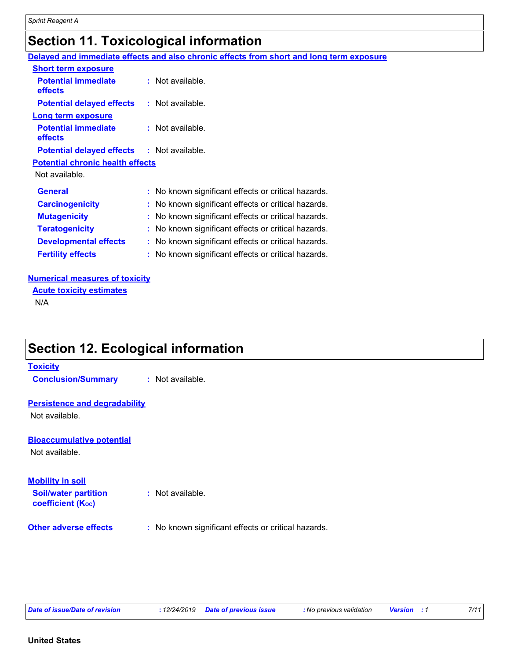### **Section 11. Toxicological information**

**Delayed and immediate effects and also chronic effects from short and long term exposure**

| <b>Short term exposure</b>                        |                                                     |
|---------------------------------------------------|-----------------------------------------------------|
| <b>Potential immediate</b><br>effects             | $:$ Not available.                                  |
| <b>Potential delayed effects</b>                  | $:$ Not available.                                  |
| <b>Long term exposure</b>                         |                                                     |
| <b>Potential immediate</b><br>effects             | $:$ Not available.                                  |
| <b>Potential delayed effects : Not available.</b> |                                                     |
| <b>Potential chronic health effects</b>           |                                                     |
| Not available.                                    |                                                     |
| <b>General</b>                                    | : No known significant effects or critical hazards. |
| <b>Carcinogenicity</b>                            | : No known significant effects or critical hazards. |
| <b>Mutagenicity</b>                               | : No known significant effects or critical hazards. |
| <b>Teratogenicity</b>                             | No known significant effects or critical hazards.   |
| <b>Developmental effects</b>                      | : No known significant effects or critical hazards. |
| <b>Fertility effects</b>                          | : No known significant effects or critical hazards. |

#### **Numerical measures of toxicity**

**Acute toxicity estimates**

N/A

### **Section 12. Ecological information**

#### **Toxicity**

**Conclusion/Summary :** Not available.

#### **Persistence and degradability**

Not available.

#### **Bioaccumulative potential**

Not available.

#### **Mobility in soil**

**Soil/water partition coefficient (KOC)**

- **:** Not available.
- **Other adverse effects** : No known significant effects or critical hazards.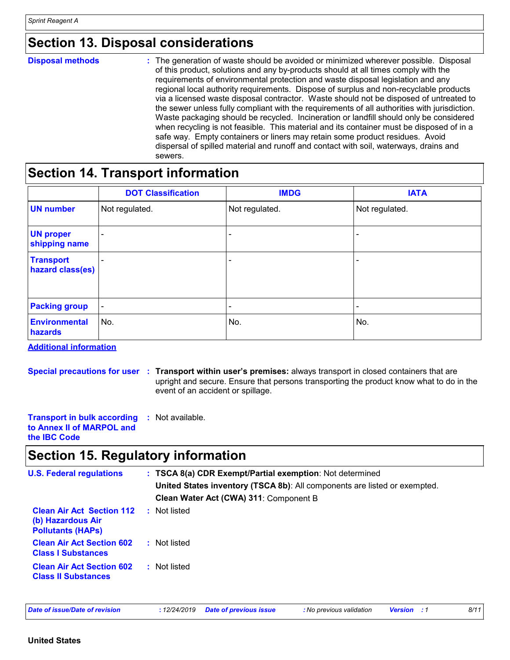### **Section 13. Disposal considerations**

| <b>Disposal methods</b> | : The generation of waste should be avoided or minimized wherever possible. Disposal<br>of this product, solutions and any by-products should at all times comply with the<br>requirements of environmental protection and waste disposal legislation and any<br>regional local authority requirements. Dispose of surplus and non-recyclable products<br>via a licensed waste disposal contractor. Waste should not be disposed of untreated to<br>the sewer unless fully compliant with the requirements of all authorities with jurisdiction.<br>Waste packaging should be recycled. Incineration or landfill should only be considered<br>when recycling is not feasible. This material and its container must be disposed of in a<br>safe way. Empty containers or liners may retain some product residues. Avoid<br>dispersal of spilled material and runoff and contact with soil, waterways, drains and<br>sewers. |
|-------------------------|----------------------------------------------------------------------------------------------------------------------------------------------------------------------------------------------------------------------------------------------------------------------------------------------------------------------------------------------------------------------------------------------------------------------------------------------------------------------------------------------------------------------------------------------------------------------------------------------------------------------------------------------------------------------------------------------------------------------------------------------------------------------------------------------------------------------------------------------------------------------------------------------------------------------------|
|                         |                                                                                                                                                                                                                                                                                                                                                                                                                                                                                                                                                                                                                                                                                                                                                                                                                                                                                                                            |

### **Section 14. Transport information**

|                                      | <b>DOT Classification</b> | <b>IMDG</b>              | <b>IATA</b>                  |
|--------------------------------------|---------------------------|--------------------------|------------------------------|
| <b>UN number</b>                     | Not regulated.            | Not regulated.           | Not regulated.               |
| <b>UN proper</b><br>shipping name    | -                         |                          |                              |
| <b>Transport</b><br>hazard class(es) |                           | -                        | $\overline{\phantom{0}}$     |
| <b>Packing group</b>                 | $\overline{\phantom{a}}$  | $\overline{\phantom{a}}$ | $\qquad \qquad \blacksquare$ |
| <b>Environmental</b><br>hazards      | No.                       | No.                      | No.                          |

**Additional information**

**Special precautions for user Transport within user's premises:** always transport in closed containers that are **:** upright and secure. Ensure that persons transporting the product know what to do in the event of an accident or spillage.

| <b>Transport in bulk according : Not available.</b> |  |
|-----------------------------------------------------|--|
| to Annex II of MARPOL and                           |  |
| the <b>IBC</b> Code                                 |  |

### **Section 15. Regulatory information**

| <b>U.S. Federal regulations</b>                                                   | : TSCA 8(a) CDR Exempt/Partial exemption: Not determined                  |
|-----------------------------------------------------------------------------------|---------------------------------------------------------------------------|
|                                                                                   | United States inventory (TSCA 8b): All components are listed or exempted. |
|                                                                                   | Clean Water Act (CWA) 311: Component B                                    |
| <b>Clean Air Act Section 112</b><br>(b) Hazardous Air<br><b>Pollutants (HAPS)</b> | Not listed                                                                |
| <b>Clean Air Act Section 602</b><br><b>Class I Substances</b>                     | : Not listed                                                              |
| <b>Clean Air Act Section 602</b><br><b>Class II Substances</b>                    | : Not listed                                                              |
|                                                                                   |                                                                           |

*Date of issue/Date of revision* **:** *12/24/2019 Date of previous issue : No previous validation Version : 1 8/11*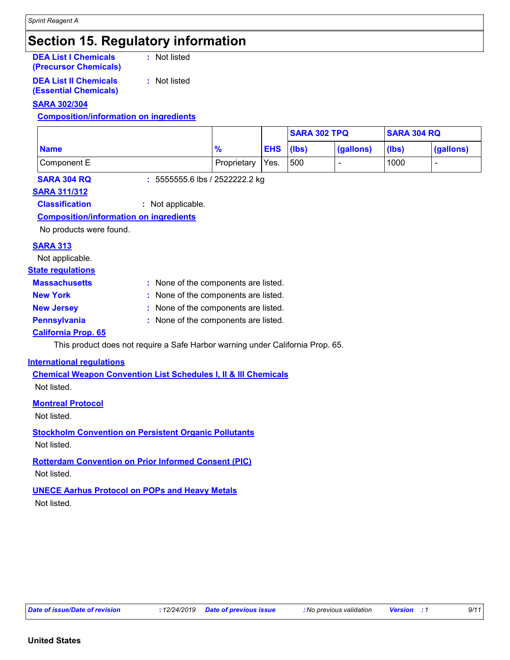### **Section 15. Regulatory information**

#### **DEA List I Chemicals (Precursor Chemicals)**

**:** Not listed

**:** Not listed

**DEA List II Chemicals (Essential Chemicals)**

#### **SARA 302/304**

**Composition/information on ingredients**

|             |             |            | <b>SARA 302 TPQ</b> |           | <b>SARA 304 RQ</b> |           |
|-------------|-------------|------------|---------------------|-----------|--------------------|-----------|
| <b>Name</b> | 70          | <b>EHS</b> | $(\mathsf{lbs})$    | (gallons) | (lbs)              | (gallons) |
| Component E | Proprietary | Yes.       | 500                 |           | 1000               |           |

**SARA 304 RQ :** 5555555.6 lbs / 2522222.2 kg

#### **SARA 311/312**

**Classification :** Not applicable.

#### **Composition/information on ingredients**

No products were found.

#### **SARA 313**

Not applicable.

#### **State regulations**

| <b>Massachusetts</b> | : None of the components are listed. |
|----------------------|--------------------------------------|
| <b>New York</b>      | : None of the components are listed. |
|                      |                                      |

**New Jersey :** None of the components are listed. **Pennsylvania :** None of the components are listed.

### **California Prop. 65**

This product does not require a Safe Harbor warning under California Prop. 65.

#### **International regulations**

**Chemical Weapon Convention List Schedules I, II & III Chemicals** Not listed.

#### **Montreal Protocol**

Not listed.

**Stockholm Convention on Persistent Organic Pollutants** Not listed.

### **Rotterdam Convention on Prior Informed Consent (PIC)**

Not listed.

### **UNECE Aarhus Protocol on POPs and Heavy Metals**

Not listed.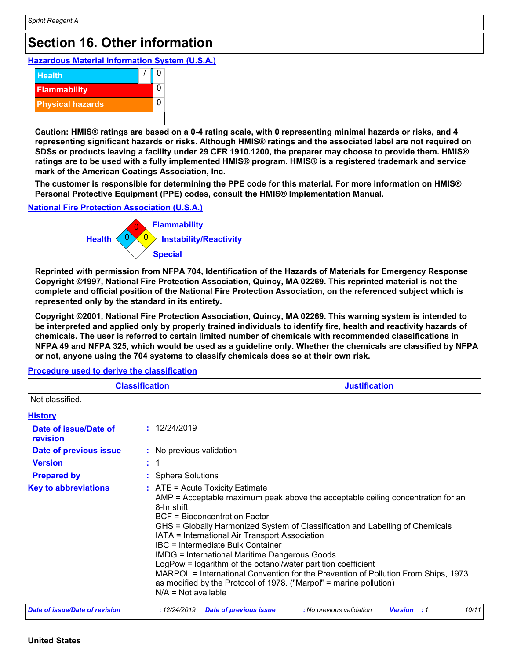### **Section 16. Other information**

**Hazardous Material Information System (U.S.A.)**



**Caution: HMIS® ratings are based on a 0-4 rating scale, with 0 representing minimal hazards or risks, and 4 representing significant hazards or risks. Although HMIS® ratings and the associated label are not required on SDSs or products leaving a facility under 29 CFR 1910.1200, the preparer may choose to provide them. HMIS® ratings are to be used with a fully implemented HMIS® program. HMIS® is a registered trademark and service mark of the American Coatings Association, Inc.**

**The customer is responsible for determining the PPE code for this material. For more information on HMIS® Personal Protective Equipment (PPE) codes, consult the HMIS® Implementation Manual.**

#### **National Fire Protection Association (U.S.A.)**



**Reprinted with permission from NFPA 704, Identification of the Hazards of Materials for Emergency Response Copyright ©1997, National Fire Protection Association, Quincy, MA 02269. This reprinted material is not the complete and official position of the National Fire Protection Association, on the referenced subject which is represented only by the standard in its entirety.**

**Copyright ©2001, National Fire Protection Association, Quincy, MA 02269. This warning system is intended to be interpreted and applied only by properly trained individuals to identify fire, health and reactivity hazards of chemicals. The user is referred to certain limited number of chemicals with recommended classifications in NFPA 49 and NFPA 325, which would be used as a guideline only. Whether the chemicals are classified by NFPA or not, anyone using the 704 systems to classify chemicals does so at their own risk.**

| <b>Classification</b>                 |                                                                                                                                                                                                                                                                                                                                                                                                                                                                                                                                                                                                                                                             | <b>Justification</b>     |                             |  |  |
|---------------------------------------|-------------------------------------------------------------------------------------------------------------------------------------------------------------------------------------------------------------------------------------------------------------------------------------------------------------------------------------------------------------------------------------------------------------------------------------------------------------------------------------------------------------------------------------------------------------------------------------------------------------------------------------------------------------|--------------------------|-----------------------------|--|--|
| Not classified.                       |                                                                                                                                                                                                                                                                                                                                                                                                                                                                                                                                                                                                                                                             |                          |                             |  |  |
| <b>History</b>                        |                                                                                                                                                                                                                                                                                                                                                                                                                                                                                                                                                                                                                                                             |                          |                             |  |  |
| Date of issue/Date of<br>revision     | : 12/24/2019                                                                                                                                                                                                                                                                                                                                                                                                                                                                                                                                                                                                                                                |                          |                             |  |  |
| Date of previous issue                | : No previous validation                                                                                                                                                                                                                                                                                                                                                                                                                                                                                                                                                                                                                                    |                          |                             |  |  |
| <b>Version</b>                        | $\therefore$ 1                                                                                                                                                                                                                                                                                                                                                                                                                                                                                                                                                                                                                                              |                          |                             |  |  |
| <b>Prepared by</b>                    | : Sphera Solutions                                                                                                                                                                                                                                                                                                                                                                                                                                                                                                                                                                                                                                          |                          |                             |  |  |
| <b>Key to abbreviations</b>           | $:$ ATE = Acute Toxicity Estimate<br>$AMP = Acceptable$ maximum peak above the acceptable ceiling concentration for an<br>8-hr shift<br>BCF = Bioconcentration Factor<br>GHS = Globally Harmonized System of Classification and Labelling of Chemicals<br>IATA = International Air Transport Association<br>IBC = Intermediate Bulk Container<br><b>IMDG = International Maritime Dangerous Goods</b><br>LogPow = logarithm of the octanol/water partition coefficient<br>MARPOL = International Convention for the Prevention of Pollution From Ships, 1973<br>as modified by the Protocol of 1978. ("Marpol" = marine pollution)<br>$N/A = Not available$ |                          |                             |  |  |
| <b>Date of issue/Date of revision</b> | : 12/24/2019<br><b>Date of previous issue</b>                                                                                                                                                                                                                                                                                                                                                                                                                                                                                                                                                                                                               | : No previous validation | 10/11<br><b>Version</b> : 1 |  |  |

**Procedure used to derive the classification**